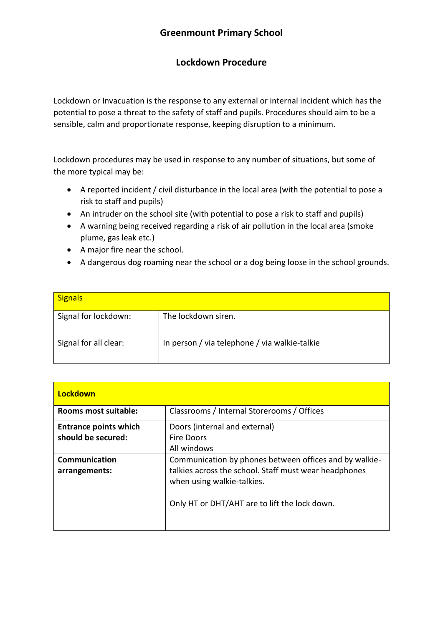# **Greenmount Primary School**

# **Lockdown Procedure**

Lockdown or Invacuation is the response to any external or internal incident which has the potential to pose a threat to the safety of staff and pupils. Procedures should aim to be a sensible, calm and proportionate response, keeping disruption to a minimum.

Lockdown procedures may be used in response to any number of situations, but some of the more typical may be:

- A reported incident / civil disturbance in the local area (with the potential to pose a risk to staff and pupils)
- An intruder on the school site (with potential to pose a risk to staff and pupils)
- A warning being received regarding a risk of air pollution in the local area (smoke plume, gas leak etc.)
- A major fire near the school.
- A dangerous dog roaming near the school or a dog being loose in the school grounds.

| <b>Signals</b>        |                                               |
|-----------------------|-----------------------------------------------|
| Signal for lockdown:  | The lockdown siren.                           |
| Signal for all clear: | In person / via telephone / via walkie-talkie |

| Lockdown                     |                                                        |
|------------------------------|--------------------------------------------------------|
| Rooms most suitable:         | Classrooms / Internal Storerooms / Offices             |
| <b>Entrance points which</b> | Doors (internal and external)                          |
| should be secured:           | <b>Fire Doors</b>                                      |
|                              | All windows                                            |
| <b>Communication</b>         | Communication by phones between offices and by walkie- |
| arrangements:                | talkies across the school. Staff must wear headphones  |
|                              | when using walkie-talkies.                             |
|                              | Only HT or DHT/AHT are to lift the lock down.          |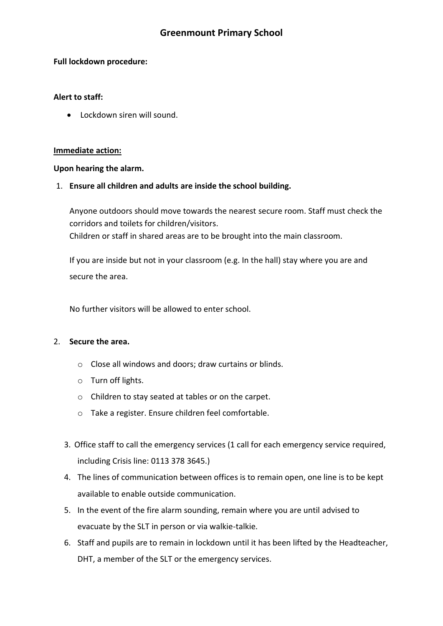# **Greenmount Primary School**

#### **Full lockdown procedure:**

### **Alert to staff:**

• Lockdown siren will sound.

#### **Immediate action:**

#### **Upon hearing the alarm.**

### 1. **Ensure all children and adults are inside the school building.**

Anyone outdoors should move towards the nearest secure room. Staff must check the corridors and toilets for children/visitors. Children or staff in shared areas are to be brought into the main classroom.

If you are inside but not in your classroom (e.g. In the hall) stay where you are and secure the area.

No further visitors will be allowed to enter school.

### 2. **Secure the area.**

- o Close all windows and doors; draw curtains or blinds.
- o Turn off lights.
- o Children to stay seated at tables or on the carpet.
- o Take a register. Ensure children feel comfortable.
- 3. Office staff to call the emergency services (1 call for each emergency service required, including Crisis line: 0113 378 3645.)
- 4. The lines of communication between offices is to remain open, one line is to be kept available to enable outside communication.
- 5. In the event of the fire alarm sounding, remain where you are until advised to evacuate by the SLT in person or via walkie-talkie.
- 6. Staff and pupils are to remain in lockdown until it has been lifted by the Headteacher, DHT, a member of the SLT or the emergency services.